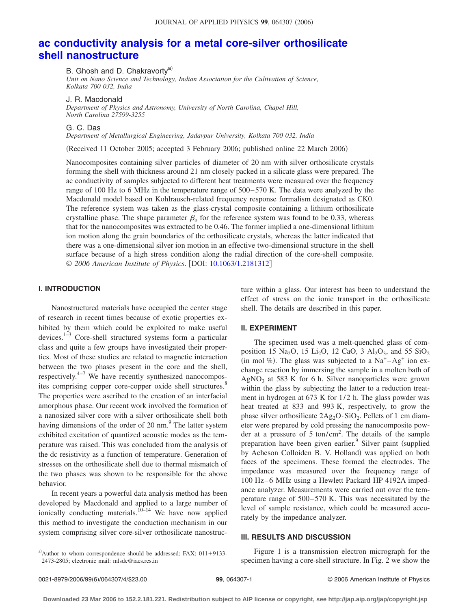# **[ac conductivity analysis for a metal core-silver orthosilicate](http://dx.doi.org/10.1063/1.2181312) [shell nanostructure](http://dx.doi.org/10.1063/1.2181312)**

B. Ghosh and D. Chakravortv<sup>a)</sup>

*Unit on Nano Science and Technology, Indian Association for the Cultivation of Science, Kolkata 700 032, India*

J. R. Macdonald

*Department of Physics and Astronomy, University of North Carolina, Chapel Hill, North Carolina 27599-3255*

G. C. Das

*Department of Metallurgical Engineering, Jadavpur University, Kolkata 700 032, India*

(Received 11 October 2005; accepted 3 February 2006; published online 22 March 2006)

Nanocomposites containing silver particles of diameter of 20 nm with silver orthosilicate crystals forming the shell with thickness around 21 nm closely packed in a silicate glass were prepared. The ac conductivity of samples subjected to different heat treatments were measured over the frequency range of 100 Hz to 6 MHz in the temperature range of 500–570 K. The data were analyzed by the Macdonald model based on Kohlrausch-related frequency response formalism designated as CK0. The reference system was taken as the glass-crystal composite containing a lithium orthosilicate crystalline phase. The shape parameter  $\beta_0$  for the reference system was found to be 0.33, whereas that for the nanocomposites was extracted to be 0.46. The former implied a one-dimensional lithium ion motion along the grain boundaries of the orthosilicate crystals, whereas the latter indicated that there was a one-dimensional silver ion motion in an effective two-dimensional structure in the shell surface because of a high stress condition along the radial direction of the core-shell composite. © 2006 American Institute of Physics. [DOI: [10.1063/1.2181312](http://dx.doi.org/10.1063/1.2181312)]

## **I. INTRODUCTION**

Nanostructured materials have occupied the center stage of research in recent times because of exotic properties exhibited by them which could be exploited to make useful devices.<sup>1-3</sup> Core-shell structured systems form a particular class and quite a few groups have investigated their properties. Most of these studies are related to magnetic interaction between the two phases present in the core and the shell, respectively.4–7 We have recently synthesized nanocomposites comprising copper core-copper oxide shell structures.<sup>8</sup> The properties were ascribed to the creation of an interfacial amorphous phase. Our recent work involved the formation of a nanosized silver core with a silver orthosilicate shell both having dimensions of the order of 20 nm. $9$ <sup>9</sup> The latter system exhibited excitation of quantized acoustic modes as the temperature was raised. This was concluded from the analysis of the dc resistivity as a function of temperature. Generation of stresses on the orthosilicate shell due to thermal mismatch of the two phases was shown to be responsible for the above behavior.

In recent years a powerful data analysis method has been developed by Macdonald and applied to a large number of ionically conducting materials.<sup> $10-14$ </sup> We have now applied this method to investigate the conduction mechanism in our system comprising silver core-silver orthosilicate nanostructure within a glass. Our interest has been to understand the effect of stress on the ionic transport in the orthosilicate shell. The details are described in this paper.

## **II. EXPERIMENT**

The specimen used was a melt-quenched glass of composition 15 Na<sub>2</sub>O, 15 Li<sub>2</sub>O, 12 CaO, 3 Al<sub>2</sub>O<sub>3</sub>, and 55 SiO<sub>2</sub> (in mol %). The glass was subjected to a  $Na^+ - Ag^+$  ion exchange reaction by immersing the sample in a molten bath of  $AgNO<sub>3</sub>$  at 583 K for 6 h. Silver nanoparticles were grown within the glass by subjecting the latter to a reduction treatment in hydrogen at 673 K for 1/2 h. The glass powder was heat treated at 833 and 993 K, respectively, to grow the phase silver orthosilicate  $2Ag_2O \cdot SiO_2$ . Pellets of 1 cm diameter were prepared by cold pressing the nanocomposite powder at a pressure of 5 ton/cm2 . The details of the sample preparation have been given earlier.<sup>9</sup> Silver paint (supplied by Acheson Colloiden B. V. Holland) was applied on both faces of the specimens. These formed the electrodes. The impedance was measured over the frequency range of 100 Hz–6 MHz using a Hewlett Packard HP 4192A impedance analyzer. Measurements were carried out over the temperature range of 500–570 K. This was necessitated by the level of sample resistance, which could be measured accurately by the impedance analyzer.

#### **III. RESULTS AND DISCUSSION**

Figure 1 is a transmission electron micrograph for the specimen having a core-shell structure. In Fig. 2 we show the

a) Author to whom correspondence should be addressed; FAX:  $011+9133-$ 2473-2805; electronic mail: mlsdc@iacs.res.in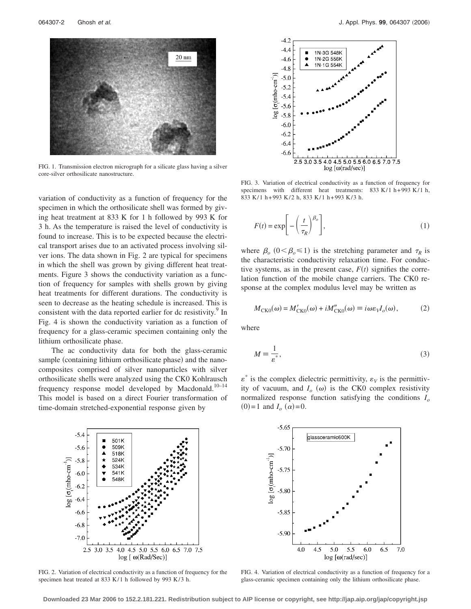

FIG. 1. Transmission electron micrograph for a silicate glass having a silver core-silver orthosilicate nanostructure.

variation of conductivity as a function of frequency for the specimen in which the orthosilicate shell was formed by giving heat treatment at 833 K for 1 h followed by 993 K for 3 h. As the temperature is raised the level of conductivity is found to increase. This is to be expected because the electrical transport arises due to an activated process involving silver ions. The data shown in Fig. 2 are typical for specimens in which the shell was grown by giving different heat treatments. Figure 3 shows the conductivity variation as a function of frequency for samples with shells grown by giving heat treatments for different durations. The conductivity is seen to decrease as the heating schedule is increased. This is consistent with the data reported earlier for dc resistivity.<sup>9</sup> In Fig. 4 is shown the conductivity variation as a function of frequency for a glass-ceramic specimen containing only the lithium orthosilicate phase.

The ac conductivity data for both the glass-ceramic sample (containing lithium orthosilicate phase) and the nanocomposites comprised of silver nanoparticles with silver orthosilicate shells were analyzed using the CK0 Kohlrausch frequency response model developed by Macdonald. $10-14$ This model is based on a direct Fourier transformation of time-domain stretched-exponential response given by



FIG. 2. Variation of electrical conductivity as a function of frequency for the specimen heat treated at 833 K/1 h followed by 993 K/3 h.



FIG. 3. Variation of electrical conductivity as a function of frequency for specimens with different heat treatments: 833 K/1 h+993 K/1 h, 833 K/1 h+993 K/2 h, 833 K/1 h+993 K/3 h.

$$
F(t) = \exp\left[-\left(\frac{t}{\tau_R}\right)^{\beta_o}\right],\tag{1}
$$

where  $\beta_o$  ( $0 < \beta_o \le 1$ ) is the stretching parameter and  $\tau_R$  is the characteristic conductivity relaxation time. For conductive systems, as in the present case,  $F(t)$  signifies the correlation function of the mobile change carriers. The CK0 response at the complex modulus level may be written as

$$
M_{CK0}(\omega) = M'_{CK0}(\omega) + iM''_{CK0}(\omega) \equiv i\omega\varepsilon_V I_o(\omega),\tag{2}
$$

where

$$
M \equiv \frac{1}{\varepsilon^*},\tag{3}
$$

 $\varepsilon^*$  is the complex dielectric permittivity,  $\varepsilon_V$  is the permittivity of vacuum, and  $I_0(\omega)$  is the CK0 complex resistivity normalized response function satisfying the conditions *Io*  $(0)=1$  and  $I_0(\alpha)=0$ .



FIG. 4. Variation of electrical conductivity as a function of frequency for a glass-ceramic specimen containing only the lithium orthosilicate phase.

**Downloaded 23 Mar 2006 to 152.2.181.221. Redistribution subject to AIP license or copyright, see http://jap.aip.org/jap/copyright.jsp**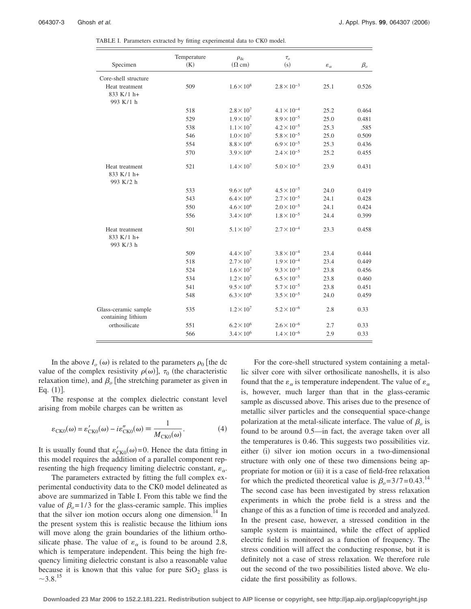|                                            | Temperature | $\rho_{\rm dc}$     | $\tau_o$             |                      |           |
|--------------------------------------------|-------------|---------------------|----------------------|----------------------|-----------|
| Specimen                                   | (K)         | $(\Omega$ cm)       | (s)                  | $\varepsilon_\alpha$ | $\beta_o$ |
| Core-shell structure                       |             |                     |                      |                      |           |
| Heat treatment                             | 509         | $1.6 \times 10^8$   | $2.8 \times 10^{-3}$ | 25.1                 | 0.526     |
| 833 K/1 h+                                 |             |                     |                      |                      |           |
| 993 K/1 h                                  |             |                     |                      |                      |           |
|                                            | 518         | $2.8 \times 10^{7}$ | $4.1\times10^{-4}$   | 25.2                 | 0.464     |
|                                            | 529         | $1.9 \times 10^{7}$ | $8.9 \times 10^{-5}$ | 25.0                 | 0.481     |
|                                            | 538         | $1.1 \times 10^{7}$ | $4.2 \times 10^{-5}$ | 25.3                 | .585      |
|                                            | 546         | $1.0\times10^7$     | $5.8 \times 10^{-5}$ | 25.0                 | 0.509     |
|                                            | 554         | $8.8 \times 10^{6}$ | $6.9 \times 10^{-5}$ | 25.3                 | 0.436     |
|                                            | 570         | $3.9 \times 10^{6}$ | $2.4 \times 10^{-5}$ | 25.2                 | 0.455     |
| Heat treatment                             | 521         | $1.4 \times 10^{7}$ | $5.0 \times 10^{-5}$ | 23.9                 | 0.431     |
| 833 K/1 h+<br>993 K/2 h                    |             |                     |                      |                      |           |
|                                            | 533         | $9.6 \times 10^{6}$ | $4.5 \times 10^{-5}$ | 24.0                 | 0.419     |
|                                            | 543         | $6.4 \times 10^{6}$ | $2.7 \times 10^{-5}$ | 24.1                 | 0.428     |
|                                            | 550         | $4.6 \times 10^{6}$ | $2.0 \times 10^{-5}$ | 24.1                 | 0.424     |
|                                            | 556         | $3.4 \times 10^{6}$ | $1.8 \times 10^{-5}$ | 24.4                 | 0.399     |
| Heat treatment                             | 501         | $5.1 \times 10^{7}$ | $2.7 \times 10^{-4}$ | 23.3                 | 0.458     |
| 833 K/1 h+<br>993 K/3 h                    |             |                     |                      |                      |           |
|                                            | 509         | $4.4 \times 10^{7}$ | $3.8 \times 10^{-4}$ | 23.4                 | 0.444     |
|                                            | 518         | $2.7 \times 10^{7}$ | $1.9\times10^{-4}$   | 23.4                 | 0.449     |
|                                            | 524         | $1.6 \times 10^{7}$ | $9.3 \times 10^{-5}$ | 23.8                 | 0.456     |
|                                            | 534         | $1.2 \times 10^{7}$ | $6.5 \times 10^{-5}$ | 23.8                 | 0.460     |
|                                            | 541         | $9.5 \times 10^{6}$ | $5.7 \times 10^{-5}$ | 23.8                 | 0.451     |
|                                            | 548         | $6.3 \times 10^{6}$ | $3.5 \times 10^{-5}$ | 24.0                 | 0.459     |
| Glass-ceramic sample<br>containing lithium | 535         | $1.2 \times 10^{7}$ | $5.2 \times 10^{-6}$ | 2.8                  | 0.33      |
| orthosilicate                              | 551         | $6.2 \times 10^{6}$ | $2.6 \times 10^{-6}$ | 2.7                  | 0.33      |
|                                            | 566         | $3.4 \times 10^{6}$ | $1.4 \times 10^{-6}$ | 2.9                  | 0.33      |

TABLE I. Parameters extracted by fitting experimental data to CK0 model.

In the above  $I_o(\omega)$  is related to the parameters  $\rho_0$  [the dc value of the complex resistivity  $\rho(\omega)$ ,  $\tau_0$  (the characteristic relaxation time), and  $\beta_o$  [the stretching parameter as given in Eq.  $(1)$ ].

The response at the complex dielectric constant level arising from mobile charges can be written as

$$
\varepsilon_{CK0}(\omega) = \varepsilon'_{CK0}(\omega) - i\varepsilon''_{CK0}(\omega) \equiv \frac{1}{M_{CK0}(\omega)}.\tag{4}
$$

It is usually found that  $\varepsilon'_{CK0}(\omega) = 0$ . Hence the data fitting in this model requires the addition of a parallel component representing the high frequency limiting dielectric constant,  $\varepsilon_{\alpha}$ .

The parameters extracted by fitting the full complex experimental conductivity data to the CK0 model delineated as above are summarized in Table I. From this table we find the value of  $\beta_0 = 1/3$  for the glass-ceramic sample. This implies that the silver ion motion occurs along one dimension.<sup>14</sup> In the present system this is realistic because the lithium ions will move along the grain boundaries of the lithium orthosilicate phase. The value of  $\varepsilon_{\alpha}$  is found to be around 2.8, which is temperature independent. This being the high frequency limiting dielectric constant is also a reasonable value because it is known that this value for pure  $SiO<sub>2</sub>$  glass is  $~15$ 

For the core-shell structured system containing a metallic silver core with silver orthosilicate nanoshells, it is also found that the  $\varepsilon_{\alpha}$  is temperature independent. The value of  $\varepsilon_{\alpha}$ is, however, much larger than that in the glass-ceramic sample as discussed above. This arises due to the presence of metallic silver particles and the consequential space-change polarization at the metal-silicate interface. The value of  $\beta$  is found to be around 0.5—in fact, the average taken over all the temperatures is 0.46. This suggests two possibilities viz. either (i) silver ion motion occurs in a two-dimensional structure with only one of these two dimensions being appropriate for motion or (ii) it is a case of field-free relaxation for which the predicted theoretical value is  $\beta_0 = 3/7 = 0.43$ .<sup>14</sup> The second case has been investigated by stress relaxation experiments in which the probe field is a stress and the change of this as a function of time is recorded and analyzed. In the present case, however, a stressed condition in the sample system is maintained, while the effect of applied electric field is monitored as a function of frequency. The stress condition will affect the conducting response, but it is definitely not a case of stress relaxation. We therefore rule out the second of the two possibilities listed above. We elucidate the first possibility as follows.